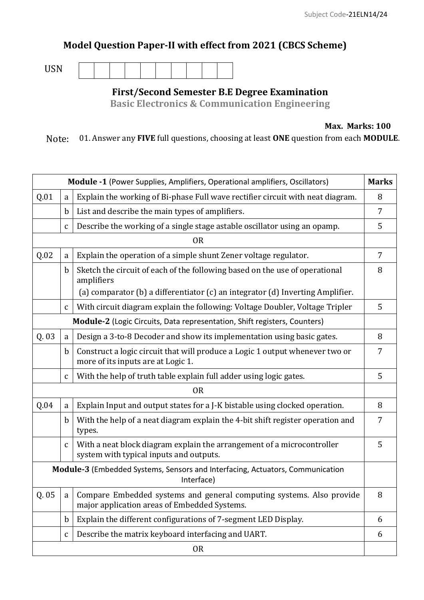## **Model Question Paper-II with effect from 2021 (CBCS Scheme)**

USN

**First/Second Semester B.E Degree Examination**

**Basic Electronics & Communication Engineering**

**Max. Marks: 100**

Note: 01. Answer any **FIVE** full questions, choosing at least **ONE** question from each **MODULE**.

| <b>Marks</b><br><b>Module -1</b> (Power Supplies, Amplifiers, Operational amplifiers, Oscillators) |              |                                                                                                                      |   |  |
|----------------------------------------------------------------------------------------------------|--------------|----------------------------------------------------------------------------------------------------------------------|---|--|
| Q.01                                                                                               | a            | Explain the working of Bi-phase Full wave rectifier circuit with neat diagram.                                       | 8 |  |
|                                                                                                    | $\mathbf b$  | List and describe the main types of amplifiers.                                                                      | 7 |  |
|                                                                                                    | $\mathsf C$  | Describe the working of a single stage astable oscillator using an opamp.                                            | 5 |  |
| <b>OR</b>                                                                                          |              |                                                                                                                      |   |  |
| Q.02                                                                                               | a            | Explain the operation of a simple shunt Zener voltage regulator.                                                     | 7 |  |
|                                                                                                    | $\mathbf b$  | Sketch the circuit of each of the following based on the use of operational<br>amplifiers                            | 8 |  |
|                                                                                                    |              | (a) comparator (b) a differentiator (c) an integrator (d) Inverting Amplifier.                                       |   |  |
|                                                                                                    | $\mathbf c$  | With circuit diagram explain the following: Voltage Doubler, Voltage Tripler                                         | 5 |  |
| Module-2 (Logic Circuits, Data representation, Shift registers, Counters)                          |              |                                                                                                                      |   |  |
| Q. 03                                                                                              | a            | Design a 3-to-8 Decoder and show its implementation using basic gates.                                               | 8 |  |
|                                                                                                    | $\mathbf b$  | Construct a logic circuit that will produce a Logic 1 output whenever two or<br>more of its inputs are at Logic 1.   | 7 |  |
|                                                                                                    | $\mathbf{C}$ | With the help of truth table explain full adder using logic gates.                                                   | 5 |  |
| <b>OR</b>                                                                                          |              |                                                                                                                      |   |  |
| Q.04                                                                                               | a            | Explain Input and output states for a J-K bistable using clocked operation.                                          | 8 |  |
|                                                                                                    | $\mathbf b$  | With the help of a neat diagram explain the 4-bit shift register operation and<br>types.                             | 7 |  |
|                                                                                                    | $\mathbf{C}$ | With a neat block diagram explain the arrangement of a microcontroller<br>system with typical inputs and outputs.    | 5 |  |
| Module-3 (Embedded Systems, Sensors and Interfacing, Actuators, Communication<br>Interface)        |              |                                                                                                                      |   |  |
| Q.05                                                                                               | a            | Compare Embedded systems and general computing systems. Also provide<br>major application areas of Embedded Systems. | 8 |  |
|                                                                                                    | $\mathbf b$  | Explain the different configurations of 7-segment LED Display.                                                       | 6 |  |
|                                                                                                    | $\mathbf{C}$ | Describe the matrix keyboard interfacing and UART.                                                                   | 6 |  |
| <b>OR</b>                                                                                          |              |                                                                                                                      |   |  |